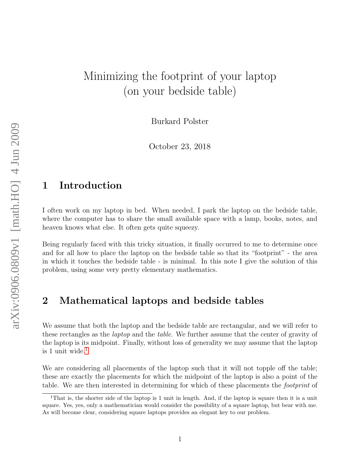# Minimizing the footprint of your laptop (on your bedside table)

Burkard Polster

October 23, 2018

#### 1 Introduction

I often work on my laptop in bed. When needed, I park the laptop on the bedside table, where the computer has to share the small available space with a lamp, books, notes, and heaven knows what else. It often gets quite squeezy.

Being regularly faced with this tricky situation, it finally occurred to me to determine once and for all how to place the laptop on the bedside table so that its "footprint" - the area in which it touches the bedside table - is minimal. In this note I give the solution of this problem, using some very pretty elementary mathematics.

#### 2 Mathematical laptops and bedside tables

We assume that both the laptop and the bedside table are rectangular, and we will refer to these rectangles as the laptop and the table. We further assume that the center of gravity of the laptop is its midpoint. Finally, without loss of generality we may assume that the laptop is [1](#page-0-0) unit wide. $1$ 

We are considering all placements of the laptop such that it will not topple off the table; these are exactly the placements for which the midpoint of the laptop is also a point of the table. We are then interested in determining for which of these placements the footprint of

<span id="page-0-0"></span><sup>&</sup>lt;sup>1</sup>That is, the shorter side of the laptop is 1 unit in length. And, if the laptop is square then it is a unit square. Yes, yes, only a mathematician would consider the possibility of a square laptop, but bear with me. As will become clear, considering square laptops provides an elegant key to our problem.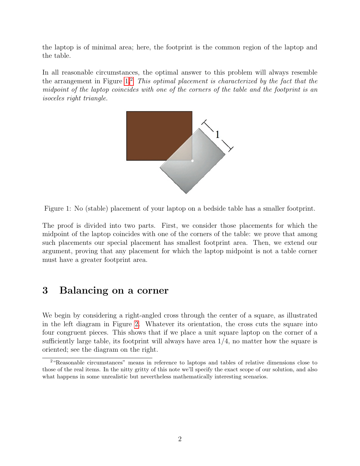the laptop is of minimal area; here, the footprint is the common region of the laptop and the table.

In all reasonable circumstances, the optimal answer to this problem will always resemble the arrangement in Figure  $1<sup>2</sup>$  $1<sup>2</sup>$  $1<sup>2</sup>$  This optimal placement is characterized by the fact that the midpoint of the laptop coincides with one of the corners of the table and the footprint is an isoceles right triangle.



Figure 1: No (stable) placement of your laptop on a bedside table has a smaller footprint.

<span id="page-1-0"></span>The proof is divided into two parts. First, we consider those placements for which the midpoint of the laptop coincides with one of the corners of the table: we prove that among such placements our special placement has smallest footprint area. Then, we extend our argument, proving that any placement for which the laptop midpoint is not a table corner must have a greater footprint area.

### 3 Balancing on a corner

We begin by considering a right-angled cross through the center of a square, as illustrated in the left diagram in Figure [2.](#page-2-0) Whatever its orientation, the cross cuts the square into four congruent pieces. This shows that if we place a unit square laptop on the corner of a sufficiently large table, its footprint will always have area  $1/4$ , no matter how the square is oriented; see the diagram on the right.

<span id="page-1-1"></span><sup>2</sup>"Reasonable circumstances" means in reference to laptops and tables of relative dimensions close to those of the real items. In the nitty gritty of this note we'll specify the exact scope of our solution, and also what happens in some unrealistic but nevertheless mathematically interesting scenarios.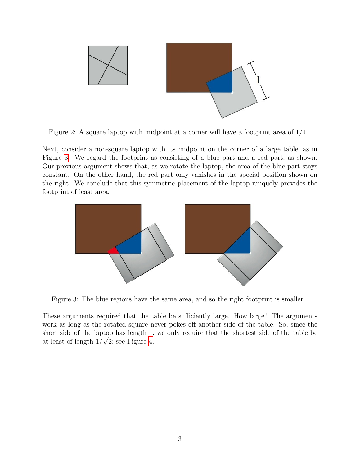

<span id="page-2-0"></span>Figure 2: A square laptop with midpoint at a corner will have a footprint area of 1/4.

Next, consider a non-square laptop with its midpoint on the corner of a large table, as in Figure [3.](#page-2-1) We regard the footprint as consisting of a blue part and a red part, as shown. Our previous argument shows that, as we rotate the laptop, the area of the blue part stays constant. On the other hand, the red part only vanishes in the special position shown on the right. We conclude that this symmetric placement of the laptop uniquely provides the footprint of least area.



<span id="page-2-1"></span>Figure 3: The blue regions have the same area, and so the right footprint is smaller.

These arguments required that the table be sufficiently large. How large? The arguments work as long as the rotated square never pokes off another side of the table. So, since the short side of the laptop has length 1, we only require that the shortest side of the table be at least of length  $1/\sqrt{2}$ ; see Figure [4.](#page-3-0)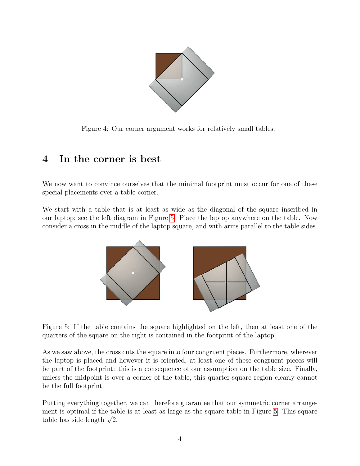

<span id="page-3-0"></span>Figure 4: Our corner argument works for relatively small tables.

## 4 In the corner is best

We now want to convince ourselves that the minimal footprint must occur for one of these special placements over a table corner.

We start with a table that is at least as wide as the diagonal of the square inscribed in our laptop; see the left diagram in Figure [5.](#page-3-1) Place the laptop anywhere on the table. Now consider a cross in the middle of the laptop square, and with arms parallel to the table sides.



Figure 5: If the table contains the square highlighted on the left, then at least one of the quarters of the square on the right is contained in the footprint of the laptop.

<span id="page-3-1"></span>As we saw above, the cross cuts the square into four congruent pieces. Furthermore, wherever the laptop is placed and however it is oriented, at least one of these congruent pieces will be part of the footprint: this is a consequence of our assumption on the table size. Finally, unless the midpoint is over a corner of the table, this quarter-square region clearly cannot be the full footprint.

Putting everything together, we can therefore guarantee that our symmetric corner arrangement is optimal if the table is at least as large as the square table in Figure [5.](#page-3-1) This square ment is optimal if the tai<br>table has side length  $\sqrt{2}.$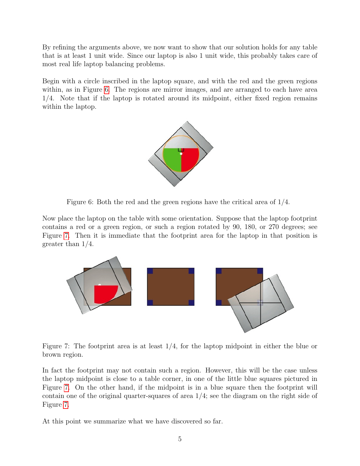By refining the arguments above, we now want to show that our solution holds for any table that is at least 1 unit wide. Since our laptop is also 1 unit wide, this probably takes care of most real life laptop balancing problems.

Begin with a circle inscribed in the laptop square, and with the red and the green regions within, as in Figure [6.](#page-4-0) The regions are mirror images, and are arranged to each have area 1/4. Note that if the laptop is rotated around its midpoint, either fixed region remains within the laptop.



<span id="page-4-0"></span>Figure 6: Both the red and the green regions have the critical area of 1/4.

Now place the laptop on the table with some orientation. Suppose that the laptop footprint contains a red or a green region, or such a region rotated by 90, 180, or 270 degrees; see Figure [7.](#page-4-1) Then it is immediate that the footprint area for the laptop in that position is greater than 1/4.



<span id="page-4-1"></span>Figure 7: The footprint area is at least  $1/4$ , for the laptop midpoint in either the blue or brown region.

In fact the footprint may not contain such a region. However, this will be the case unless the laptop midpoint is close to a table corner, in one of the little blue squares pictured in Figure [7.](#page-4-1) On the other hand, if the midpoint is in a blue square then the footprint will contain one of the original quarter-squares of area 1/4; see the diagram on the right side of Figure [7.](#page-4-1)

At this point we summarize what we have discovered so far.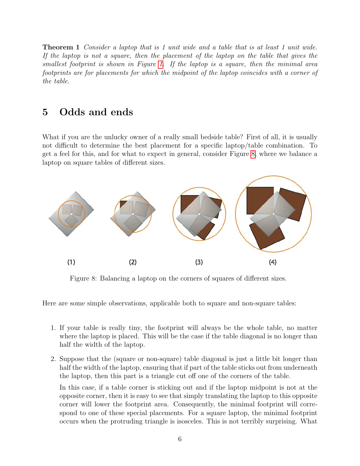Theorem 1 Consider a laptop that is 1 unit wide and a table that is at least 1 unit wide. If the laptop is not a square, then the placement of the laptop on the table that gives the smallest footprint is shown in Figure [1.](#page-1-0) If the laptop is a square, then the minimal area footprints are for placements for which the midpoint of the laptop coincides with a corner of the table.

### 5 Odds and ends

What if you are the unlucky owner of a really small bedside table? First of all, it is usually not difficult to determine the best placement for a specific laptop/table combination. To get a feel for this, and for what to expect in general, consider Figure [8,](#page-5-0) where we balance a laptop on square tables of different sizes.



<span id="page-5-0"></span>Figure 8: Balancing a laptop on the corners of squares of different sizes.

Here are some simple observations, applicable both to square and non-square tables:

- 1. If your table is really tiny, the footprint will always be the whole table, no matter where the laptop is placed. This will be the case if the table diagonal is no longer than half the width of the laptop.
- 2. Suppose that the (square or non-square) table diagonal is just a little bit longer than half the width of the laptop, ensuring that if part of the table sticks out from underneath the laptop, then this part is a triangle cut off one of the corners of the table.

In this case, if a table corner is sticking out and if the laptop midpoint is not at the opposite corner, then it is easy to see that simply translating the laptop to this opposite corner will lower the footprint area. Consequently, the minimal footprint will correspond to one of these special placements. For a square laptop, the minimal footprint occurs when the protruding triangle is isosceles. This is not terribly surprising. What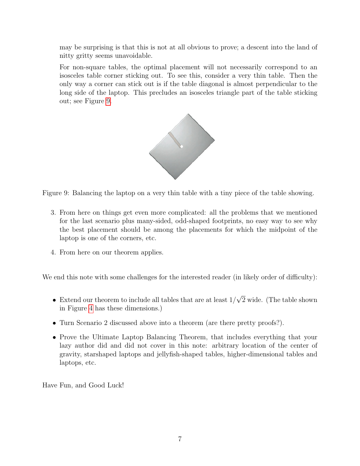may be surprising is that this is not at all obvious to prove; a descent into the land of nitty gritty seems unavoidable.

For non-square tables, the optimal placement will not necessarily correspond to an isosceles table corner sticking out. To see this, consider a very thin table. Then the only way a corner can stick out is if the table diagonal is almost perpendicular to the long side of the laptop. This precludes an isosceles triangle part of the table sticking out; see Figure [9.](#page-6-0)



<span id="page-6-0"></span>Figure 9: Balancing the laptop on a very thin table with a tiny piece of the table showing.

- 3. From here on things get even more complicated: all the problems that we mentioned for the last scenario plus many-sided, odd-shaped footprints, no easy way to see why the best placement should be among the placements for which the midpoint of the laptop is one of the corners, etc.
- 4. From here on our theorem applies.

We end this note with some challenges for the interested reader (in likely order of difficulty):

- Extend our theorem to include all tables that are at least  $1/$ √ 2 wide. (The table shown in Figure [4](#page-3-0) has these dimensions.)
- Turn Scenario 2 discussed above into a theorem (are there pretty proofs?).
- Prove the Ultimate Laptop Balancing Theorem, that includes everything that your lazy author did and did not cover in this note: arbitrary location of the center of gravity, starshaped laptops and jellyfish-shaped tables, higher-dimensional tables and laptops, etc.

Have Fun, and Good Luck!